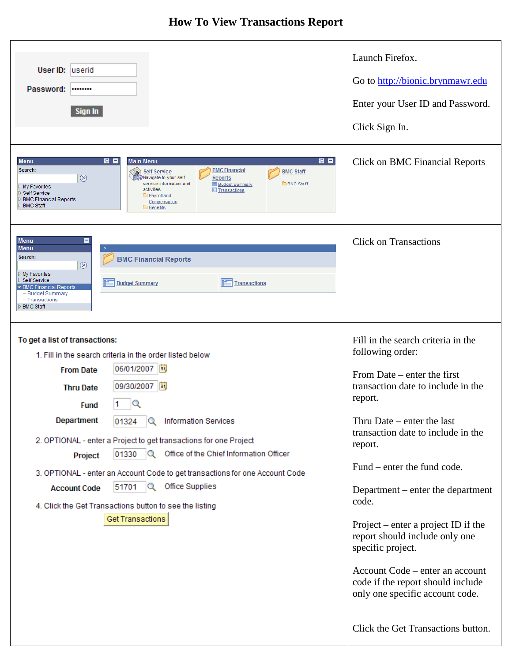## **How To View Transactions Report**

| User ID: userid<br>Password:<br>********<br><b>Sign In</b><br>8 E<br>8 E<br><b>Menu</b><br><b>Main Menu</b><br>Search:<br><b>BMC Financial</b><br><b>Self Service</b><br><b>BMC Staff</b><br>$^{\circledR}$<br>∜Navigate to your self<br><b>Reports</b><br>service information and<br><b>EBMC Staff</b><br><b>E</b> Budget Summary<br>My Favorites<br>activities.<br><b>E</b> Transactions<br>Self Service<br>Payroll and<br><b>BMC Financial Reports</b><br>Compensation<br><b>BMC Staff</b><br><b>Benefits</b>                                                                                                                | Launch Firefox.<br>Go to http://bionic.brynmawr.edu<br>Enter your User ID and Password.<br>Click Sign In.<br><b>Click on BMC Financial Reports</b>                                                                                                                                                                                                                                                                                                                                                                                                    |
|---------------------------------------------------------------------------------------------------------------------------------------------------------------------------------------------------------------------------------------------------------------------------------------------------------------------------------------------------------------------------------------------------------------------------------------------------------------------------------------------------------------------------------------------------------------------------------------------------------------------------------|-------------------------------------------------------------------------------------------------------------------------------------------------------------------------------------------------------------------------------------------------------------------------------------------------------------------------------------------------------------------------------------------------------------------------------------------------------------------------------------------------------------------------------------------------------|
| <b>Menu</b><br><b>Menu</b><br>Search:<br><b>BMC Financial Reports</b><br>$^{\circledR}$<br>My Favorites<br>Self Service<br><b>Budget Summary</b><br><b>Transactions</b><br><b>BMC Financial Reports</b><br>- Budget Summary<br>- Transactions<br><b>BMC Staff</b>                                                                                                                                                                                                                                                                                                                                                               | <b>Click on Transactions</b>                                                                                                                                                                                                                                                                                                                                                                                                                                                                                                                          |
| To get a list of transactions:<br>1. Fill in the search criteria in the order listed below<br>06/01/2007<br><b>From Date</b><br>09/30/2007<br><b>BU</b><br><b>Thru Date</b><br><b>Fund</b><br><b>Department</b><br>Q<br><b>Information Services</b><br>01324<br>2. OPTIONAL - enter a Project to get transactions for one Project<br>O Office of the Chief Information Officer<br>01330<br>Project<br>3. OPTIONAL - enter an Account Code to get transactions for one Account Code<br>51701 $\sqrt{Q}$<br>Office Supplies<br><b>Account Code</b><br>4. Click the Get Transactions button to see the listing<br>Get Transactions | Fill in the search criteria in the<br>following order:<br>From Date $-$ enter the first<br>transaction date to include in the<br>report.<br>Thru Date $-$ enter the last<br>transaction date to include in the<br>report.<br>Fund – enter the fund code.<br>Department – enter the department<br>code.<br>Project – enter a project ID if the<br>report should include only one<br>specific project.<br>Account Code – enter an account<br>code if the report should include<br>only one specific account code.<br>Click the Get Transactions button. |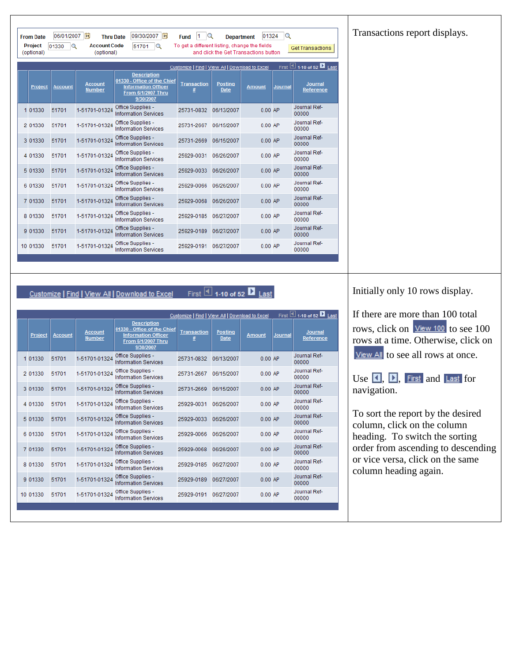Transactions report displays.

|                                                                                        | (optional)<br>(optional)<br>and click the Get Transactions button |                |                                 |                                                                                                                    |                    |                        |               |                |                             |
|----------------------------------------------------------------------------------------|-------------------------------------------------------------------|----------------|---------------------------------|--------------------------------------------------------------------------------------------------------------------|--------------------|------------------------|---------------|----------------|-----------------------------|
| First $\Box$ 1-10 of 52 $\Box$ Last<br>Customize   Find   View All   Download to Excel |                                                                   |                |                                 |                                                                                                                    |                    |                        |               |                |                             |
|                                                                                        | Project                                                           | <b>Account</b> | <b>Account</b><br><b>Number</b> | <b>Description</b><br>01330 - Office of the Chief<br><b>Information Officer</b><br>From 6/1/2007 Thru<br>9/30/2007 | <b>Transaction</b> | <b>Posting</b><br>Date | <b>Amount</b> | <b>Journal</b> | <b>Journal</b><br>Reference |
|                                                                                        | 1 01330                                                           | 51701          | 1-51701-01324                   | Office Supplies -<br><b>Information Services</b>                                                                   | 25731-0832         | 06/13/2007             | $0.00$ AP     |                | Journal Ref-<br>00000       |
|                                                                                        | 2 01330                                                           | 51701          | 1-51701-01324                   | Office Supplies -<br><b>Information Services</b>                                                                   | 25731-2667         | 06/15/2007             | $0.00$ AP     |                | Journal Ref-<br>00000       |
|                                                                                        | 3 01330                                                           | 51701          | 1-51701-01324                   | Office Supplies -<br><b>Information Services</b>                                                                   | 25731-2669         | 06/15/2007             | $0.00$ AP     |                | Journal Ref-<br>00000       |
|                                                                                        | 4 01330                                                           | 51701          | 1-51701-01324                   | Office Supplies -<br><b>Information Services</b>                                                                   | 25929-0031         | 06/26/2007             | $0.00$ AP     |                | Journal Ref-<br>00000       |
|                                                                                        | 5 01330                                                           | 51701          | 1-51701-01324                   | Office Supplies -<br><b>Information Services</b>                                                                   | 25929-0033         | 06/26/2007             | $0.00$ AP     |                | Journal Ref-<br>00000       |
|                                                                                        | 6 01330                                                           | 51701          | 1-51701-01324                   | Office Supplies -<br><b>Information Services</b>                                                                   | 25929-0066         | 06/26/2007             | $0.00$ AP     |                | Journal Ref-<br>00000       |
|                                                                                        | 7 01330                                                           | 51701          | 1-51701-01324                   | Office Supplies -<br><b>Information Services</b>                                                                   | 25929-0068         | 06/26/2007             | $0.00$ AP     |                | Journal Ref-<br>00000       |
|                                                                                        | 8 01330                                                           | 51701          | 1-51701-01324                   | Office Supplies -<br><b>Information Services</b>                                                                   | 25929-0185         | 06/27/2007             | $0.00$ AP     |                | Journal Ref-<br>00000       |
|                                                                                        | 9 01330                                                           | 51701          | 1-51701-01324                   | Office Supplies -<br><b>Information Services</b>                                                                   | 25929-0189         | 06/27/2007             | $0.00$ AP     |                | Journal Ref-<br>00000       |
|                                                                                        | 10 01330                                                          | 51701          | 1-51701-01324                   | Office Supplies -<br><b>Information Services</b>                                                                   | 25929-0191         | 06/27/2007             | $0.00$ AP     |                | Journal Ref-<br>00000       |

Fund  $1$  Q

To get a different listing, change the fields

Department 01324

Get Transactions

## First  $\overline{4}$  1-10 of 52  $\overline{2}$  Last Customize | Find | View All | Download to Excel

Thru Date 09/30/2007

51701 Q

**Account Code** 

From Date 06/01/2007 3

Project  $\boxed{01330}$  Q

| Customize   Find   View All   Download to Excel |                |                |                          |                                                                                                                    |                         |                               |               | First 1 1-10 of 52 2 Last |                             |
|-------------------------------------------------|----------------|----------------|--------------------------|--------------------------------------------------------------------------------------------------------------------|-------------------------|-------------------------------|---------------|---------------------------|-----------------------------|
|                                                 | <b>Project</b> | <b>Account</b> | <b>Account</b><br>Number | <b>Description</b><br>01330 - Office of the Chief<br><b>Information Officer</b><br>From 6/1/2007 Thru<br>9/30/2007 | <b>Transaction</b><br># | <b>Posting</b><br><b>Date</b> | <b>Amount</b> | Journal                   | <b>Journal</b><br>Reference |
|                                                 | 1 01330        | 51701          | 1-51701-01324            | Office Supplies -<br><b>Information Services</b>                                                                   | 25731-0832              | 06/13/2007                    | $0.00$ AP     |                           | Journal Ref-<br>00000       |
|                                                 | 2 01330        | 51701          | 1-51701-01324            | Office Supplies -<br><b>Information Services</b>                                                                   | 25731-2667              | 06/15/2007                    | $0.00$ AP     |                           | Journal Ref-<br>00000       |
|                                                 | 3 01330        | 51701          | 1-51701-01324            | Office Supplies -<br><b>Information Services</b>                                                                   | 25731-2669              | 06/15/2007                    | $0.00$ AP     |                           | Journal Ref-<br>00000       |
|                                                 | 4 01330        | 51701          | 1-51701-01324            | Office Supplies -<br><b>Information Services</b>                                                                   | 25929-0031              | 06/26/2007                    | $0.00$ AP     |                           | Journal Ref-<br>00000       |
|                                                 | 5 01330        | 51701          | 1-51701-01324            | Office Supplies -<br><b>Information Services</b>                                                                   | 25929-0033              | 06/26/2007                    | $0.00$ AP     |                           | Journal Ref-<br>00000       |
|                                                 | 6 01330        | 51701          | 1-51701-01324            | Office Supplies -<br><b>Information Services</b>                                                                   | 25929-0066              | 06/26/2007                    | $0.00$ AP     |                           | Journal Ref-<br>00000       |
|                                                 | 7 01330        | 51701          | 1-51701-01324            | Office Supplies -<br><b>Information Services</b>                                                                   | 25929-0068              | 06/26/2007                    | $0.00$ AP     |                           | Journal Ref-<br>00000       |
|                                                 | 8 01330        | 51701          | 1-51701-01324            | Office Supplies -<br><b>Information Services</b>                                                                   | 25929-0185              | 06/27/2007                    | $0.00$ AP     |                           | Journal Ref-<br>00000       |
|                                                 | 9 01330        | 51701          | 1-51701-01324            | Office Supplies -<br><b>Information Services</b>                                                                   | 25929-0189              | 06/27/2007                    | $0.00$ AP     |                           | Journal Ref-<br>00000       |
|                                                 | 10 01330       | 51701          | 1-51701-01324            | Office Supplies -<br><b>Information Services</b>                                                                   | 25929-0191              | 06/27/2007                    | $0.00$ AP     |                           | Journal Ref-<br>00000       |
|                                                 |                |                |                          |                                                                                                                    |                         |                               |               |                           |                             |

## Initially only 10 rows display.

## If there are more than 100 total

rows, click on  $\frac{V_{\text{new}}}{100}$  to see 100 rows at a time. Otherwise, click on **View All** to see all rows at once.

Use  $\Box$ ,  $\Box$ , First and Last for navigation.

To sort the report by the desired column, click on the column heading. To switch the sorting order from ascending to descending or vice versa, click on the same column heading again.